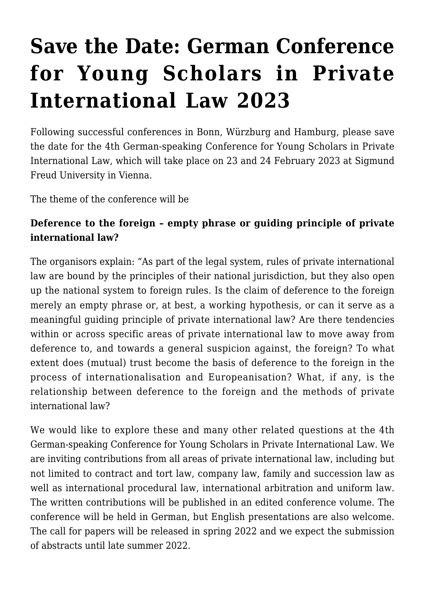## **[Save the Date: German Conference](https://conflictoflaws.net/2022/save-the-date-german-conference-for-young-scholars-in-private-international-law-2023/) [for Young Scholars in Private](https://conflictoflaws.net/2022/save-the-date-german-conference-for-young-scholars-in-private-international-law-2023/) [International Law 2023](https://conflictoflaws.net/2022/save-the-date-german-conference-for-young-scholars-in-private-international-law-2023/)**

Following successful conferences in Bonn, Würzburg and Hamburg, please save the date for the 4th German-speaking Conference for Young Scholars in Private International Law, which will take place on 23 and 24 February 2023 at Sigmund Freud University in Vienna.

The theme of the conference will be

## **Deference to the foreign – empty phrase or guiding principle of private international law?**

The organisors explain: "As part of the legal system, rules of private international law are bound by the principles of their national jurisdiction, but they also open up the national system to foreign rules. Is the claim of deference to the foreign merely an empty phrase or, at best, a working hypothesis, or can it serve as a meaningful guiding principle of private international law? Are there tendencies within or across specific areas of private international law to move away from deference to, and towards a general suspicion against, the foreign? To what extent does (mutual) trust become the basis of deference to the foreign in the process of internationalisation and Europeanisation? What, if any, is the relationship between deference to the foreign and the methods of private international law?

We would like to explore these and many other related questions at the 4th German-speaking Conference for Young Scholars in Private International Law. We are inviting contributions from all areas of private international law, including but not limited to contract and tort law, company law, family and succession law as well as international procedural law, international arbitration and uniform law. The written contributions will be published in an edited conference volume. The conference will be held in German, but English presentations are also welcome. The call for papers will be released in spring 2022 and we expect the submission of abstracts until late summer 2022.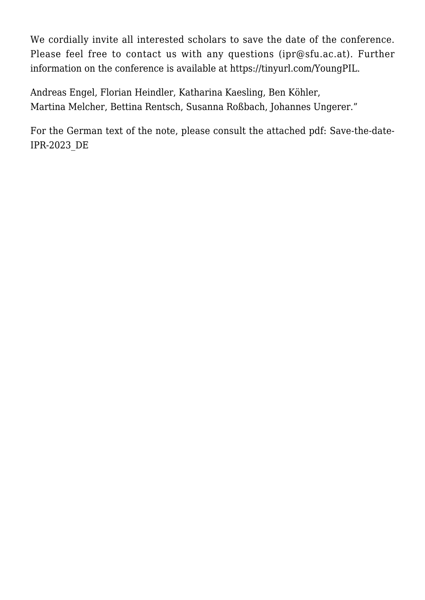We cordially invite all interested scholars to save the date of the conference. Please feel free to contact us with any questions ([ipr@sfu.ac.at](mailto:ipr@sfu.ac.at)). Further information on the conference is available at [https://tinyurl.com/YoungPIL.](https://tinyurl.com/YoungPIL)

Andreas Engel, Florian Heindler, Katharina Kaesling, Ben Köhler, Martina Melcher, Bettina Rentsch, Susanna Roßbach, Johannes Ungerer."

For the German text of the note, please consult the attached pdf: [Save-the-date-](https://conflictoflaws.net/News/2022/01/Save-the-date-IPR-2023_DE.pdf)[IPR-2023\\_DE](https://conflictoflaws.net/News/2022/01/Save-the-date-IPR-2023_DE.pdf)